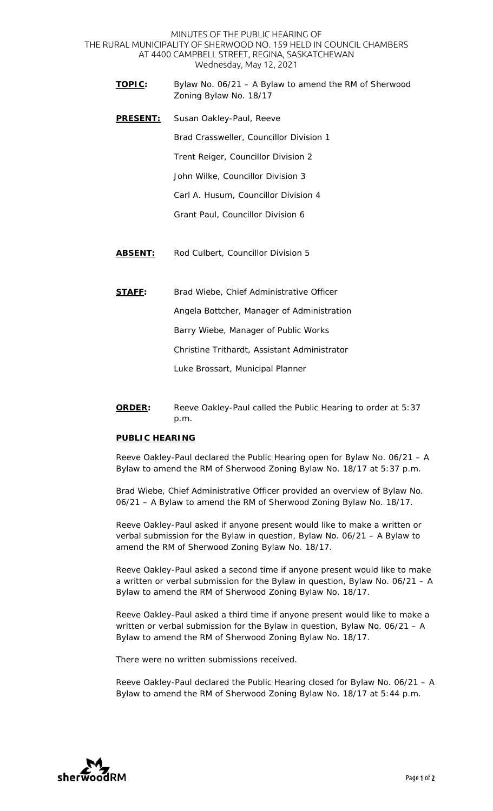MINUTES OF THE PUBLIC HEARING OF THE RURAL MUNICIPALITY OF SHERWOOD NO. 159 HELD IN COUNCIL CHAMBERS AT 4400 CAMPBELL STREET, REGINA, SASKATCHEWAN Wednesday, May 12, 2021

- **TOPIC:** Bylaw No. 06/21 A Bylaw to amend the RM of Sherwood Zoning Bylaw No. 18/17
- **PRESENT:** Susan Oakley-Paul, Reeve Brad Crassweller, Councillor Division 1 Trent Reiger, Councillor Division 2 John Wilke, Councillor Division 3 Carl A. Husum, Councillor Division 4 Grant Paul, Councillor Division 6
- **ABSENT:** Rod Culbert, Councillor Division 5

**STAFF:** Brad Wiebe, Chief Administrative Officer

Angela Bottcher, Manager of Administration

Barry Wiebe, Manager of Public Works

Christine Trithardt, Assistant Administrator

Luke Brossart, Municipal Planner

**ORDER:** Reeve Oakley-Paul called the Public Hearing to order at 5:37 p.m.

## **PUBLIC HEARING**

Reeve Oakley-Paul declared the Public Hearing open for Bylaw No. 06/21 – A Bylaw to amend the RM of Sherwood Zoning Bylaw No. 18/17 at 5:37 p.m.

Brad Wiebe, Chief Administrative Officer provided an overview of Bylaw No. 06/21 – A Bylaw to amend the RM of Sherwood Zoning Bylaw No. 18/17.

Reeve Oakley-Paul asked if anyone present would like to make a written or verbal submission for the Bylaw in question, Bylaw No. 06/21 – A Bylaw to amend the RM of Sherwood Zoning Bylaw No. 18/17.

Reeve Oakley-Paul asked a second time if anyone present would like to make a written or verbal submission for the Bylaw in question, Bylaw No. 06/21 – A Bylaw to amend the RM of Sherwood Zoning Bylaw No. 18/17.

Reeve Oakley-Paul asked a third time if anyone present would like to make a written or verbal submission for the Bylaw in question, Bylaw No. 06/21 – A Bylaw to amend the RM of Sherwood Zoning Bylaw No. 18/17.

There were no written submissions received.

Reeve Oakley-Paul declared the Public Hearing closed for Bylaw No. 06/21 – A Bylaw to amend the RM of Sherwood Zoning Bylaw No. 18/17 at 5:44 p.m.